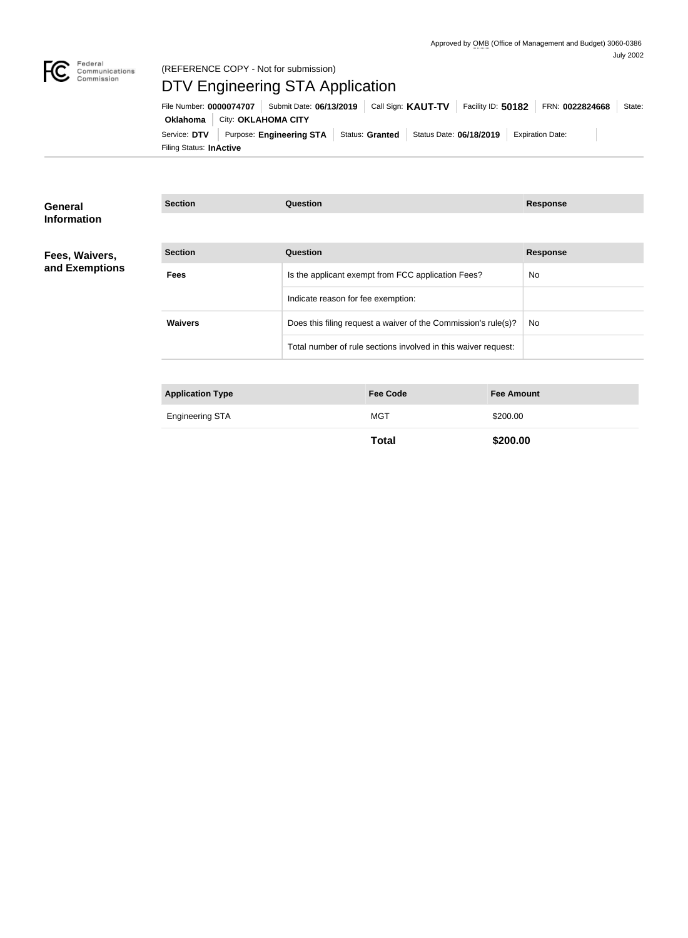

#### Federal<br>Communications<br>Commission (REFERENCE COPY - Not for submission)

# DTV Engineering STA Application

Filing Status: **InActive** Service: DTV Purpose: Engineering STA Status: Granted Status Date: 06/18/2019 Expiration Date: **Oklahoma** City: **OKLAHOMA CITY** File Number: **0000074707** Submit Date: **06/13/2019** Call Sign: KAUT-TV Facility ID: 50182 FRN: 0022824668 State:

| General<br><b>Information</b>    | <b>Section</b>          | <b>Question</b>                                                | <b>Response</b> |
|----------------------------------|-------------------------|----------------------------------------------------------------|-----------------|
|                                  |                         |                                                                |                 |
| Fees, Waivers,<br>and Exemptions | <b>Section</b>          | Question                                                       | <b>Response</b> |
|                                  | <b>Fees</b>             | Is the applicant exempt from FCC application Fees?             | No.             |
|                                  |                         | Indicate reason for fee exemption:                             |                 |
|                                  | <b>Waivers</b>          | Does this filing request a waiver of the Commission's rule(s)? | No.             |
|                                  |                         | Total number of rule sections involved in this waiver request: |                 |
|                                  |                         |                                                                |                 |
|                                  | <b>Application Type</b> | <b>Fee Code</b><br><b>Fee Amount</b>                           |                 |

| --<br>--        |     |        |  |
|-----------------|-----|--------|--|
| Engineering STA | MG1 | 200.00 |  |
|                 |     |        |  |

**Total \$200.00**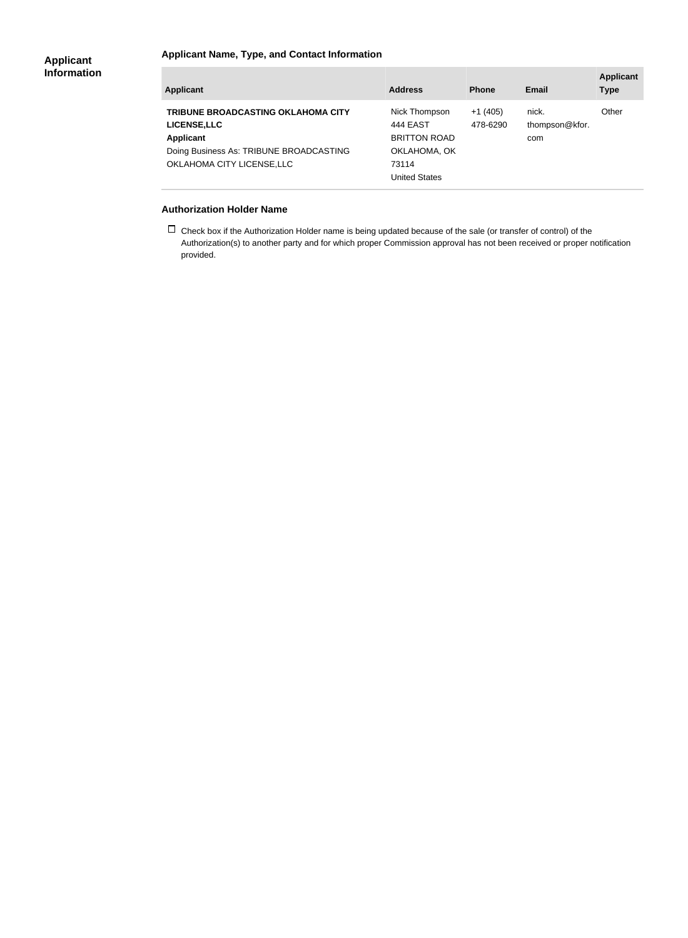### **Applicant Name, Type, and Contact Information**

| <b>Applicant</b>                                                                                                                                              | <b>Address</b>                                                                                           | <b>Phone</b>          | Email                          | <b>Applicant</b><br><b>Type</b> |
|---------------------------------------------------------------------------------------------------------------------------------------------------------------|----------------------------------------------------------------------------------------------------------|-----------------------|--------------------------------|---------------------------------|
| <b>TRIBUNE BROADCASTING OKLAHOMA CITY</b><br><b>LICENSE, LLC</b><br><b>Applicant</b><br>Doing Business As: TRIBUNE BROADCASTING<br>OKLAHOMA CITY LICENSE, LLC | Nick Thompson<br><b>444 EAST</b><br><b>BRITTON ROAD</b><br>OKLAHOMA, OK<br>73114<br><b>United States</b> | $+1(405)$<br>478-6290 | nick.<br>thompson@kfor.<br>com | Other                           |

#### **Authorization Holder Name**

 $\Box$  Check box if the Authorization Holder name is being updated because of the sale (or transfer of control) of the Authorization(s) to another party and for which proper Commission approval has not been received or proper notification provided.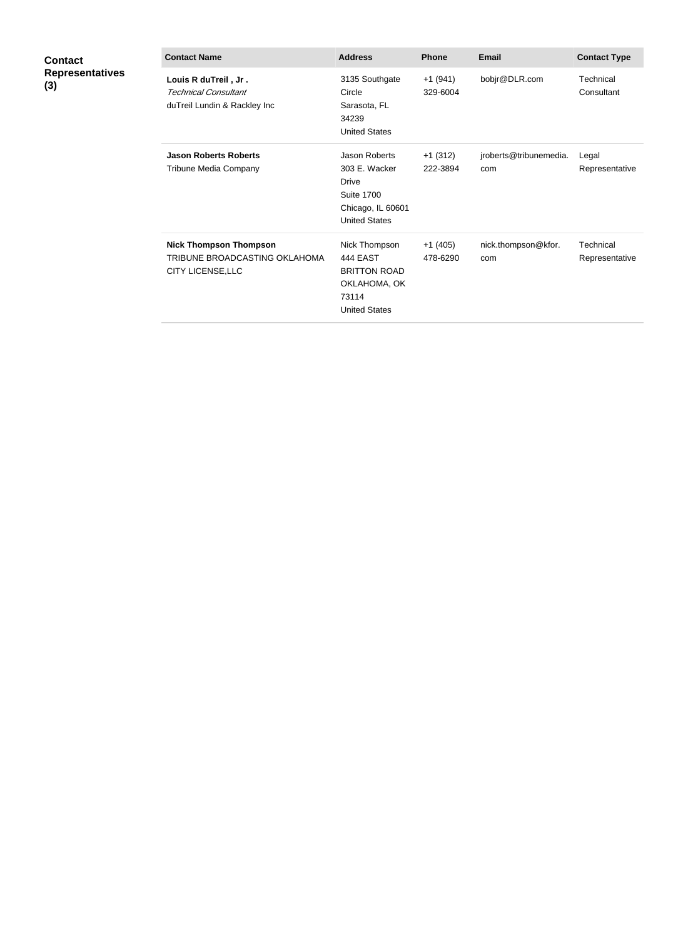| Contact                |
|------------------------|
| <b>Representatives</b> |
| (3)                    |

| <b>Contact Name</b>                                                                        | <b>Address</b>                                                                                                          | <b>Phone</b>          | Email                         | <b>Contact Type</b>         |
|--------------------------------------------------------------------------------------------|-------------------------------------------------------------------------------------------------------------------------|-----------------------|-------------------------------|-----------------------------|
| Louis R duTreil, Jr.<br><b>Technical Consultant</b><br>duTreil Lundin & Rackley Inc        | 3135 Southgate<br>Circle<br>Sarasota, FL<br>34239<br><b>United States</b>                                               | $+1(941)$<br>329-6004 | bobjr@DLR.com                 | Technical<br>Consultant     |
| <b>Jason Roberts Roberts</b><br>Tribune Media Company                                      | <b>Jason Roberts</b><br>303 E. Wacker<br><b>Drive</b><br><b>Suite 1700</b><br>Chicago, IL 60601<br><b>United States</b> | $+1(312)$<br>222-3894 | jroberts@tribunemedia.<br>com | Legal<br>Representative     |
| <b>Nick Thompson Thompson</b><br>TRIBUNE BROADCASTING OKLAHOMA<br><b>CITY LICENSE, LLC</b> | Nick Thompson<br><b>444 EAST</b><br><b>BRITTON ROAD</b><br>OKLAHOMA, OK<br>73114<br><b>United States</b>                | $+1(405)$<br>478-6290 | nick.thompson@kfor.<br>com    | Technical<br>Representative |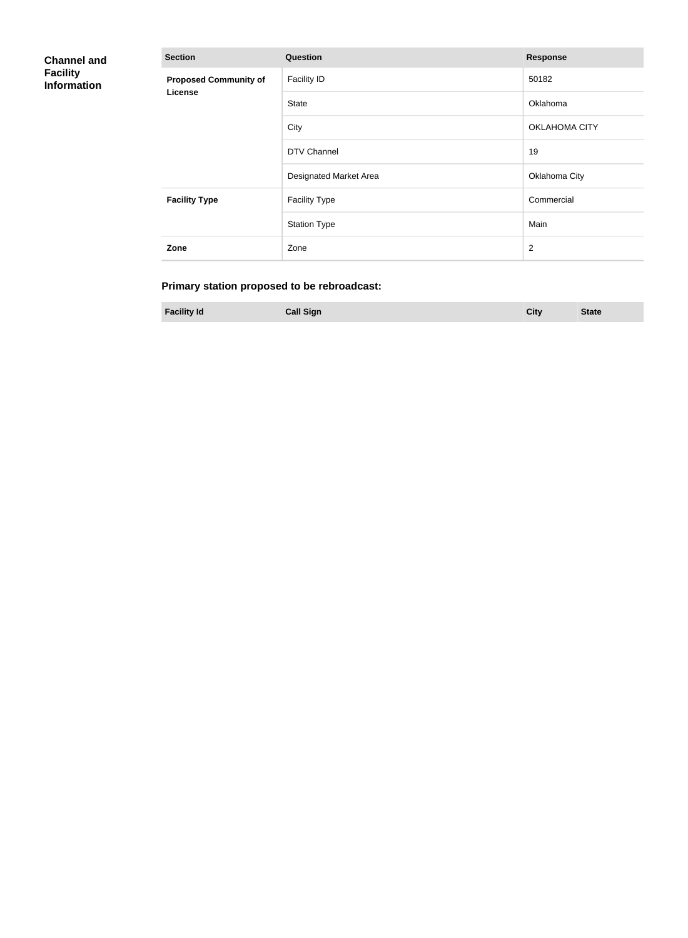| <b>Channel and</b><br><b>Facility</b><br><b>Information</b> | <b>Section</b>                          | <b>Response</b>        |                      |
|-------------------------------------------------------------|-----------------------------------------|------------------------|----------------------|
|                                                             | <b>Proposed Community of</b><br>License | <b>Facility ID</b>     | 50182                |
|                                                             |                                         | <b>State</b>           | Oklahoma             |
|                                                             |                                         | City                   | <b>OKLAHOMA CITY</b> |
|                                                             |                                         | DTV Channel            | 19                   |
|                                                             |                                         | Designated Market Area | Oklahoma City        |
|                                                             | <b>Facility Type</b>                    | <b>Facility Type</b>   | Commercial           |
|                                                             |                                         | <b>Station Type</b>    | Main                 |
|                                                             | Zone                                    | Zone                   | $\overline{2}$       |

## **Primary station proposed to be rebroadcast:**

**Facility Id Call Sign City State**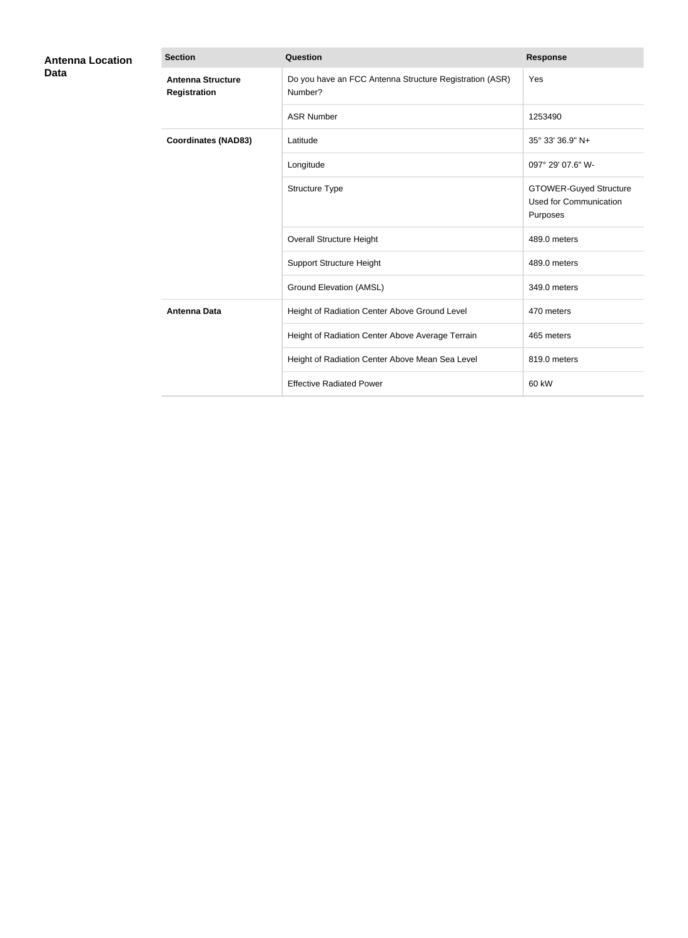| <b>Antenna Location</b><br><b>Data</b> | <b>Section</b>                                  | <b>Question</b>                                                    | <b>Response</b>                                                            |
|----------------------------------------|-------------------------------------------------|--------------------------------------------------------------------|----------------------------------------------------------------------------|
|                                        | <b>Antenna Structure</b><br><b>Registration</b> | Do you have an FCC Antenna Structure Registration (ASR)<br>Number? | Yes                                                                        |
|                                        |                                                 | <b>ASR Number</b>                                                  | 1253490                                                                    |
|                                        | <b>Coordinates (NAD83)</b>                      | Latitude                                                           | 35° 33' 36.9" N+                                                           |
|                                        |                                                 | Longitude                                                          | 097° 29' 07.6" W-                                                          |
|                                        |                                                 | Structure Type                                                     | <b>GTOWER-Guyed Structure</b><br><b>Used for Communication</b><br>Purposes |
|                                        |                                                 | <b>Overall Structure Height</b>                                    | 489.0 meters                                                               |
|                                        |                                                 | <b>Support Structure Height</b>                                    | 489.0 meters                                                               |
|                                        |                                                 | <b>Ground Elevation (AMSL)</b>                                     | 349.0 meters                                                               |
|                                        | <b>Antenna Data</b>                             | Height of Radiation Center Above Ground Level                      | 470 meters                                                                 |
|                                        |                                                 | Height of Radiation Center Above Average Terrain                   | 465 meters                                                                 |
|                                        |                                                 | Height of Radiation Center Above Mean Sea Level                    | 819.0 meters                                                               |
|                                        |                                                 | <b>Effective Radiated Power</b>                                    | 60 kW                                                                      |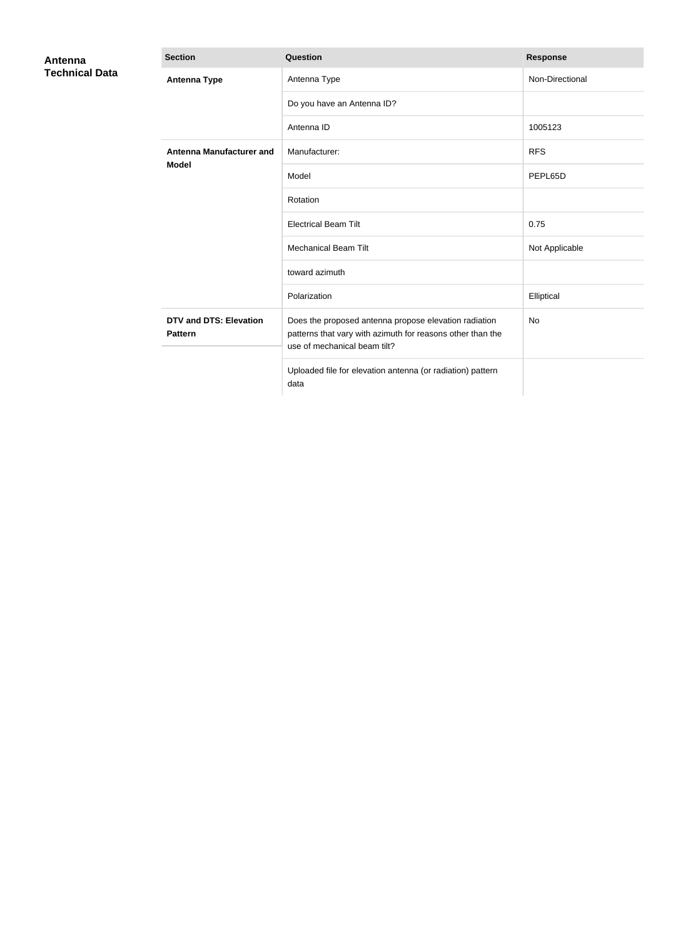| Antenna<br><b>Technical Data</b> | <b>Section</b>                                  | Question                                                                                                                                            | <b>Response</b> |
|----------------------------------|-------------------------------------------------|-----------------------------------------------------------------------------------------------------------------------------------------------------|-----------------|
|                                  | <b>Antenna Type</b>                             | Antenna Type                                                                                                                                        | Non-Directional |
|                                  |                                                 | Do you have an Antenna ID?                                                                                                                          |                 |
|                                  |                                                 | Antenna ID                                                                                                                                          | 1005123         |
|                                  | <b>Antenna Manufacturer and</b><br><b>Model</b> | Manufacturer:                                                                                                                                       | <b>RFS</b>      |
|                                  |                                                 | Model                                                                                                                                               | PEPL65D         |
|                                  |                                                 | Rotation                                                                                                                                            |                 |
|                                  |                                                 | <b>Electrical Beam Tilt</b>                                                                                                                         | 0.75            |
|                                  |                                                 | <b>Mechanical Beam Tilt</b>                                                                                                                         | Not Applicable  |
|                                  |                                                 | toward azimuth                                                                                                                                      |                 |
|                                  |                                                 | Polarization                                                                                                                                        | Elliptical      |
|                                  | <b>DTV and DTS: Elevation</b><br><b>Pattern</b> | Does the proposed antenna propose elevation radiation<br>patterns that vary with azimuth for reasons other than the<br>use of mechanical beam tilt? | <b>No</b>       |
|                                  |                                                 | Uploaded file for elevation antenna (or radiation) pattern<br>data                                                                                  |                 |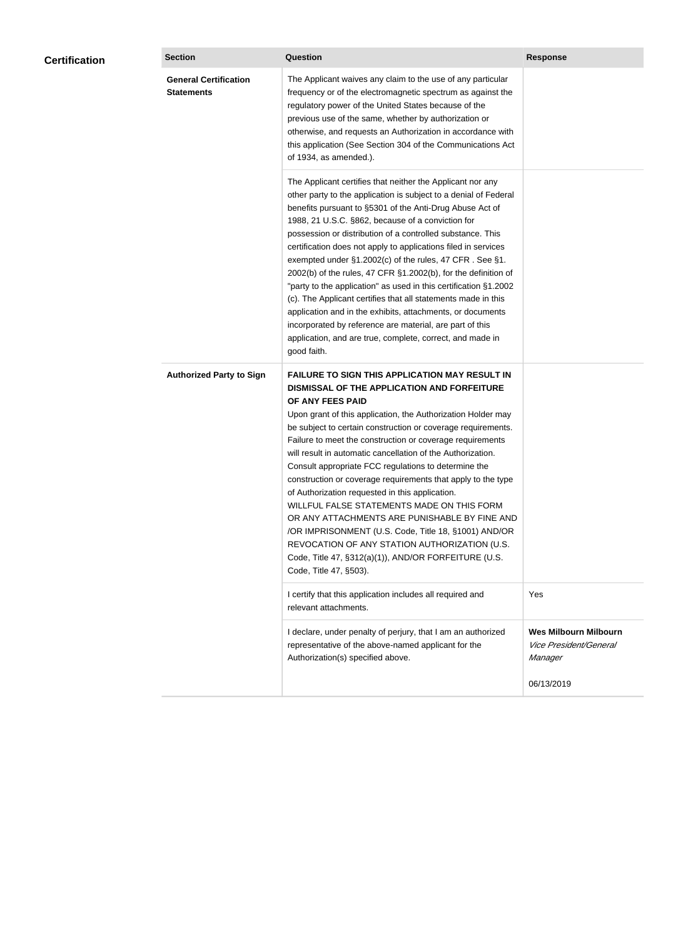| <b>Certification</b> | <b>Section</b>                                    | Question                                                                                                                                                                                                                                                                                                                                                                                                                                                                                                                                                                                                                                                                                                                                                                                                                                                  | <b>Response</b>                                                   |
|----------------------|---------------------------------------------------|-----------------------------------------------------------------------------------------------------------------------------------------------------------------------------------------------------------------------------------------------------------------------------------------------------------------------------------------------------------------------------------------------------------------------------------------------------------------------------------------------------------------------------------------------------------------------------------------------------------------------------------------------------------------------------------------------------------------------------------------------------------------------------------------------------------------------------------------------------------|-------------------------------------------------------------------|
|                      | <b>General Certification</b><br><b>Statements</b> | The Applicant waives any claim to the use of any particular<br>frequency or of the electromagnetic spectrum as against the<br>regulatory power of the United States because of the<br>previous use of the same, whether by authorization or<br>otherwise, and requests an Authorization in accordance with<br>this application (See Section 304 of the Communications Act<br>of 1934, as amended.).                                                                                                                                                                                                                                                                                                                                                                                                                                                       |                                                                   |
|                      |                                                   | The Applicant certifies that neither the Applicant nor any<br>other party to the application is subject to a denial of Federal<br>benefits pursuant to §5301 of the Anti-Drug Abuse Act of<br>1988, 21 U.S.C. §862, because of a conviction for<br>possession or distribution of a controlled substance. This<br>certification does not apply to applications filed in services<br>exempted under §1.2002(c) of the rules, 47 CFR. See §1.<br>2002(b) of the rules, 47 CFR §1.2002(b), for the definition of<br>"party to the application" as used in this certification §1.2002<br>(c). The Applicant certifies that all statements made in this<br>application and in the exhibits, attachments, or documents<br>incorporated by reference are material, are part of this<br>application, and are true, complete, correct, and made in<br>good faith.   |                                                                   |
|                      | <b>Authorized Party to Sign</b>                   | <b>FAILURE TO SIGN THIS APPLICATION MAY RESULT IN</b><br>DISMISSAL OF THE APPLICATION AND FORFEITURE<br>OF ANY FEES PAID<br>Upon grant of this application, the Authorization Holder may<br>be subject to certain construction or coverage requirements.<br>Failure to meet the construction or coverage requirements<br>will result in automatic cancellation of the Authorization.<br>Consult appropriate FCC regulations to determine the<br>construction or coverage requirements that apply to the type<br>of Authorization requested in this application.<br>WILLFUL FALSE STATEMENTS MADE ON THIS FORM<br>OR ANY ATTACHMENTS ARE PUNISHABLE BY FINE AND<br>/OR IMPRISONMENT (U.S. Code, Title 18, §1001) AND/OR<br>REVOCATION OF ANY STATION AUTHORIZATION (U.S.<br>Code, Title 47, §312(a)(1)), AND/OR FORFEITURE (U.S.<br>Code, Title 47, §503). |                                                                   |
|                      |                                                   | I certify that this application includes all required and<br>relevant attachments.                                                                                                                                                                                                                                                                                                                                                                                                                                                                                                                                                                                                                                                                                                                                                                        | Yes                                                               |
|                      |                                                   | I declare, under penalty of perjury, that I am an authorized<br>representative of the above-named applicant for the<br>Authorization(s) specified above.                                                                                                                                                                                                                                                                                                                                                                                                                                                                                                                                                                                                                                                                                                  | <b>Wes Milbourn Milbourn</b><br>Vice President/General<br>Manager |
|                      |                                                   |                                                                                                                                                                                                                                                                                                                                                                                                                                                                                                                                                                                                                                                                                                                                                                                                                                                           | 06/13/2019                                                        |